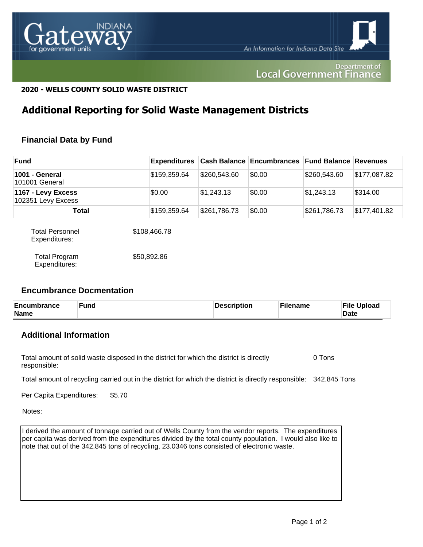

#### Department of **Local Government Finance**

### **2020 - WELLS COUNTY SOLID WASTE DISTRICT**

## **Additional Reporting for Solid Waste Management Districts**

## **Financial Data by Fund**

| <b>Fund</b>                              |              |              | <b>Expenditures</b> Cash Balance Encumbrances Fund Balance Revenues |              |              |
|------------------------------------------|--------------|--------------|---------------------------------------------------------------------|--------------|--------------|
| 1001 - General<br>101001 General         | \$159,359.64 | \$260,543.60 | \$0.00                                                              | \$260,543.60 | \$177,087.82 |
| 1167 - Levy Excess<br>102351 Levy Excess | \$0.00       | \$1,243.13   | \$0.00                                                              | \$1,243.13   | \$314.00     |
| Total                                    | \$159,359.64 | \$261,786.73 | \$0.00                                                              | \$261,786.73 | \$177,401.82 |

| <b>Total Personnel</b><br>Expenditures: | \$108,466.78 |
|-----------------------------------------|--------------|
| <b>Total Program</b><br>Expenditures:   | \$50,892.86  |

#### **Encumbrance Docmentation**

| Encumbrance<br>Name | Fund | Description | Filename | <b>File Upload</b><br><b>Date</b> |
|---------------------|------|-------------|----------|-----------------------------------|
|---------------------|------|-------------|----------|-----------------------------------|

## **Additional Information**

Total amount of solid waste disposed in the district for which the district is directly responsible: 0 Tons

Total amount of recycling carried out in the district for which the district is directly responsible: 342.845 Tons

Per Capita Expenditures: \$5.70

Notes:

I derived the amount of tonnage carried out of Wells County from the vendor reports. The expenditures per capita was derived from the expenditures divided by the total county population. I would also like to note that out of the 342.845 tons of recycling, 23.0346 tons consisted of electronic waste.